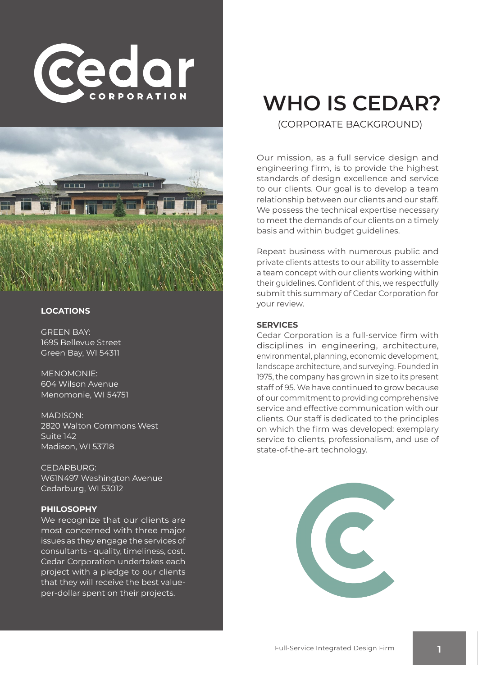



#### **LOCATIONS**

GREEN BAY: 1695 Bellevue Street Green Bay, WI 54311

MENOMONIE: 604 Wilson Avenue Menomonie, WI 54751

MADISON: 2820 Walton Commons West Suite 142 Madison, WI 53718

CEDARBURG: W61N497 Washington Avenue Cedarburg, WI 53012

#### **PHILOSOPHY**

We recognize that our clients are most concerned with three major issues as they engage the services of consultants - quality, timeliness, cost. Cedar Corporation undertakes each project with a pledge to our clients that they will receive the best valueper-dollar spent on their projects.

# **WHO IS CEDAR?**

(CORPORATE BACKGROUND)

Our mission, as a full service design and engineering firm, is to provide the highest standards of design excellence and service to our clients. Our goal is to develop a team relationship between our clients and our staff. We possess the technical expertise necessary to meet the demands of our clients on a timely basis and within budget guidelines.

Repeat business with numerous public and private clients attests to our ability to assemble a team concept with our clients working within their guidelines. Confident of this, we respectfully submit this summary of Cedar Corporation for your review.

#### **SERVICES**

Cedar Corporation is a full-service firm with disciplines in engineering, architecture, environmental, planning, economic development, landscape architecture, and surveying. Founded in 1975, the company has grown in size to its present staff of 95. We have continued to grow because of our commitment to providing comprehensive service and effective communication with our clients. Our staff is dedicated to the principles on which the firm was developed: exemplary service to clients, professionalism, and use of state-of-the-art technology.